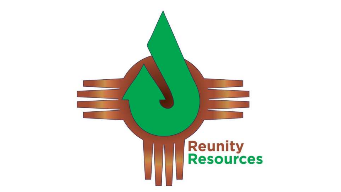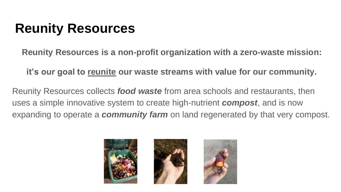#### **Reunity Resources**

**Reunity Resources is a non-profit organization with a zero-waste mission:** 

**it's our goal to reunite our waste streams with value for our community.** 

Reunity Resources collects *food waste* from area schools and restaurants, then uses a simple innovative system to create high-nutrient *compost*, and is now expanding to operate a *community farm* on land regenerated by that very compost.

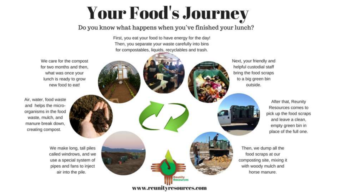# **Your Food's Journey**

#### Do you know what happens when you've finished your lunch?

First, you eat your food to have energy for the day! Then, you separate your waste carefully into bins for compostables, liquids, recyclables and trash.

> Reunity **Resources**

www.reunityresources.com

We care for the compost for two months and then. what was once your lunch is ready to grow new food to eat! Air, water, food waste and helps the microorganisms in the food waste, mulch, and manure break down.

> We make long, tall piles called windrows, and we use a special system of pipes and fans to inject air into the pile.

creating compost.

Next, your friendly and helpful custodial staff bring the food scraps to a big green bin outside.

> After that, Reunity Resources comes to pick up the food scraps and leave a clean. empty green bin in place of the full one.

Then, we dump all the food scraps at our composting site, mixing it with woody mulch and horse manure.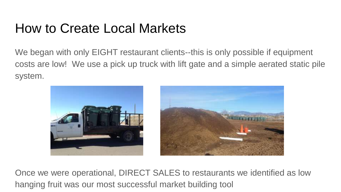#### How to Create Local Markets

We began with only EIGHT restaurant clients--this is only possible if equipment costs are low! We use a pick up truck with lift gate and a simple aerated static pile system.



Once we were operational, DIRECT SALES to restaurants we identified as low hanging fruit was our most successful market building tool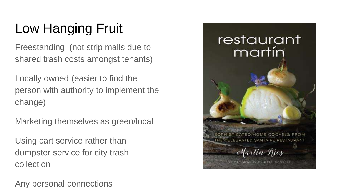# Low Hanging Fruit

Freestanding (not strip malls due to shared trash costs amongst tenants)

Locally owned (easier to find the person with authority to implement the change)

Marketing themselves as green/local

Using cart service rather than dumpster service for city trash collection

Any personal connections

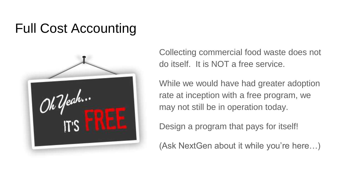### Full Cost Accounting



Collecting commercial food waste does not do itself. It is NOT a free service.

While we would have had greater adoption rate at inception with a free program, we may not still be in operation today.

Design a program that pays for itself!

(Ask NextGen about it while you're here…)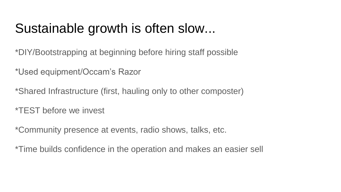#### Sustainable growth is often slow...

\*DIY/Bootstrapping at beginning before hiring staff possible

\*Used equipment/Occam's Razor

\*Shared Infrastructure (first, hauling only to other composter)

\*TEST before we invest

\*Community presence at events, radio shows, talks, etc.

\*Time builds confidence in the operation and makes an easier sell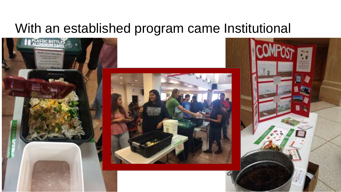#### With an established program came Institutional





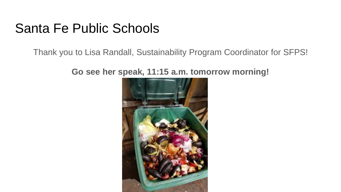#### Santa Fe Public Schools

Thank you to Lisa Randall, Sustainability Program Coordinator for SFPS!

**Go see her speak, 11:15 a.m. tomorrow morning!** 

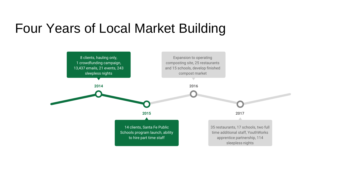#### Four Years of Local Market Building

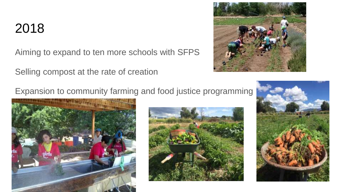#### 2018

Aiming to expand to ten more schools with SFPS

Selling compost at the rate of creation



Expansion to community farming and food justice programming





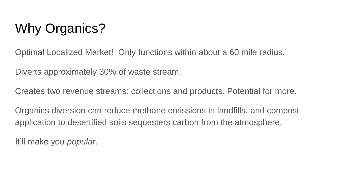# Why Organics?

Optimal Localized Market! Only functions within about a 60 mile radius.

Diverts approximately 30% of waste stream.

Creates two revenue streams: collections and products. Potential for more.

Organics diversion can reduce methane emissions in landfills, and compost application to desertified soils sequesters carbon from the atmosphere.

It'll make you *popular*.